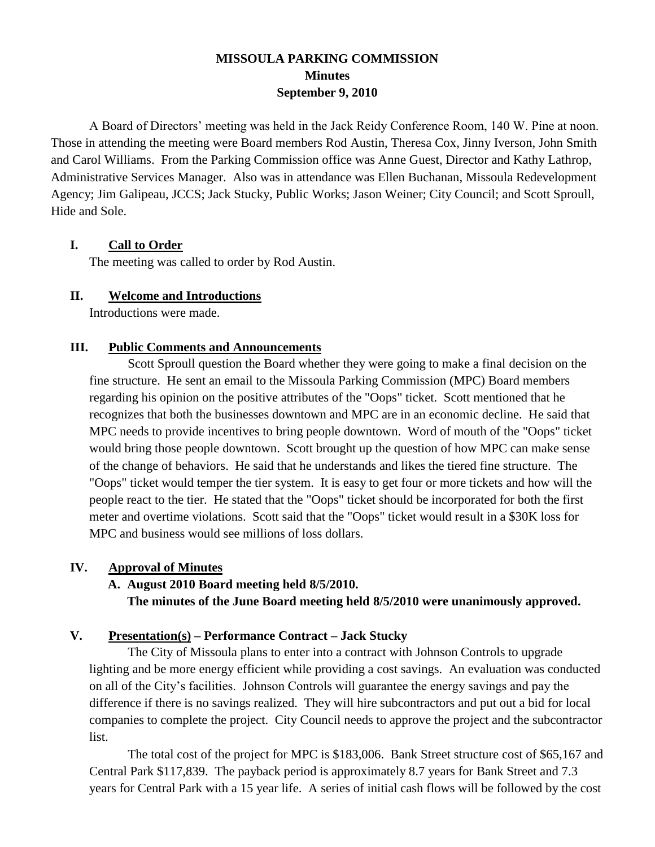# **MISSOULA PARKING COMMISSION Minutes September 9, 2010**

A Board of Directors' meeting was held in the Jack Reidy Conference Room, 140 W. Pine at noon. Those in attending the meeting were Board members Rod Austin, Theresa Cox, Jinny Iverson, John Smith and Carol Williams. From the Parking Commission office was Anne Guest, Director and Kathy Lathrop, Administrative Services Manager. Also was in attendance was Ellen Buchanan, Missoula Redevelopment Agency; Jim Galipeau, JCCS; Jack Stucky, Public Works; Jason Weiner; City Council; and Scott Sproull, Hide and Sole.

### **I. Call to Order**

The meeting was called to order by Rod Austin.

### **II. Welcome and Introductions**

Introductions were made.

## **III. Public Comments and Announcements**

Scott Sproull question the Board whether they were going to make a final decision on the fine structure. He sent an email to the Missoula Parking Commission (MPC) Board members regarding his opinion on the positive attributes of the "Oops" ticket. Scott mentioned that he recognizes that both the businesses downtown and MPC are in an economic decline. He said that MPC needs to provide incentives to bring people downtown. Word of mouth of the "Oops" ticket would bring those people downtown. Scott brought up the question of how MPC can make sense of the change of behaviors. He said that he understands and likes the tiered fine structure. The "Oops" ticket would temper the tier system. It is easy to get four or more tickets and how will the people react to the tier. He stated that the "Oops" ticket should be incorporated for both the first meter and overtime violations. Scott said that the "Oops" ticket would result in a \$30K loss for MPC and business would see millions of loss dollars.

### **IV. Approval of Minutes**

# **A. August 2010 Board meeting held 8/5/2010.**

**The minutes of the June Board meeting held 8/5/2010 were unanimously approved.**

# **V. Presentation(s) – Performance Contract – Jack Stucky**

The City of Missoula plans to enter into a contract with Johnson Controls to upgrade lighting and be more energy efficient while providing a cost savings. An evaluation was conducted on all of the City's facilities. Johnson Controls will guarantee the energy savings and pay the difference if there is no savings realized. They will hire subcontractors and put out a bid for local companies to complete the project. City Council needs to approve the project and the subcontractor list.

The total cost of the project for MPC is \$183,006. Bank Street structure cost of \$65,167 and Central Park \$117,839. The payback period is approximately 8.7 years for Bank Street and 7.3 years for Central Park with a 15 year life. A series of initial cash flows will be followed by the cost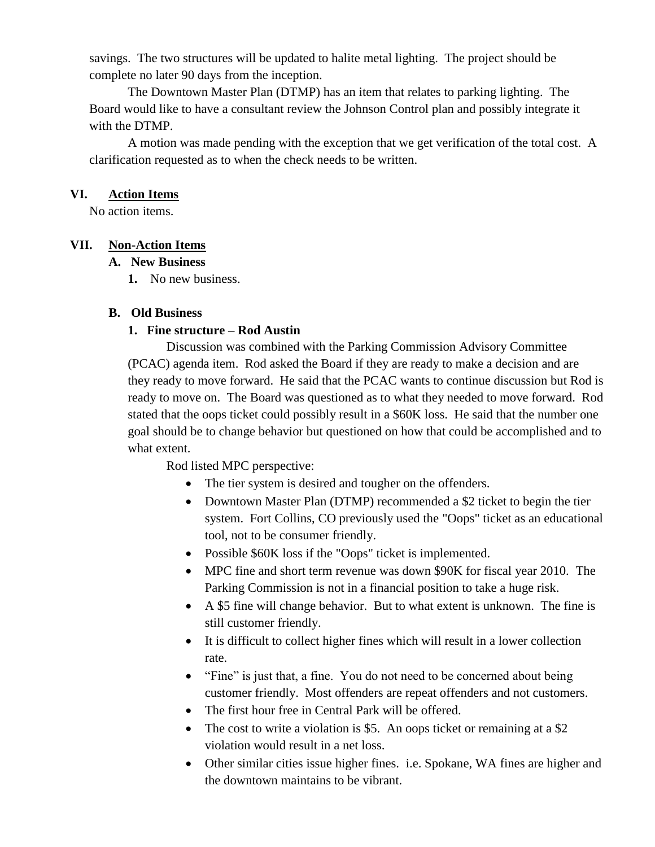savings. The two structures will be updated to halite metal lighting. The project should be complete no later 90 days from the inception.

The Downtown Master Plan (DTMP) has an item that relates to parking lighting. The Board would like to have a consultant review the Johnson Control plan and possibly integrate it with the DTMP.

A motion was made pending with the exception that we get verification of the total cost. A clarification requested as to when the check needs to be written.

#### **VI. Action Items**

No action items.

### **VII. Non-Action Items**

### **A. New Business**

**1.** No new business.

### **B. Old Business**

## **1. Fine structure – Rod Austin**

Discussion was combined with the Parking Commission Advisory Committee (PCAC) agenda item. Rod asked the Board if they are ready to make a decision and are they ready to move forward. He said that the PCAC wants to continue discussion but Rod is ready to move on. The Board was questioned as to what they needed to move forward. Rod stated that the oops ticket could possibly result in a \$60K loss. He said that the number one goal should be to change behavior but questioned on how that could be accomplished and to what extent.

Rod listed MPC perspective:

- The tier system is desired and tougher on the offenders.
- Downtown Master Plan (DTMP) recommended a \$2 ticket to begin the tier system. Fort Collins, CO previously used the "Oops" ticket as an educational tool, not to be consumer friendly.
- Possible \$60K loss if the "Oops" ticket is implemented.
- MPC fine and short term revenue was down \$90K for fiscal year 2010. The Parking Commission is not in a financial position to take a huge risk.
- A \$5 fine will change behavior. But to what extent is unknown. The fine is still customer friendly.
- It is difficult to collect higher fines which will result in a lower collection rate.
- "Fine" is just that, a fine. You do not need to be concerned about being customer friendly. Most offenders are repeat offenders and not customers.
- The first hour free in Central Park will be offered.
- The cost to write a violation is \$5. An oops ticket or remaining at a \$2 violation would result in a net loss.
- Other similar cities issue higher fines. i.e. Spokane, WA fines are higher and the downtown maintains to be vibrant.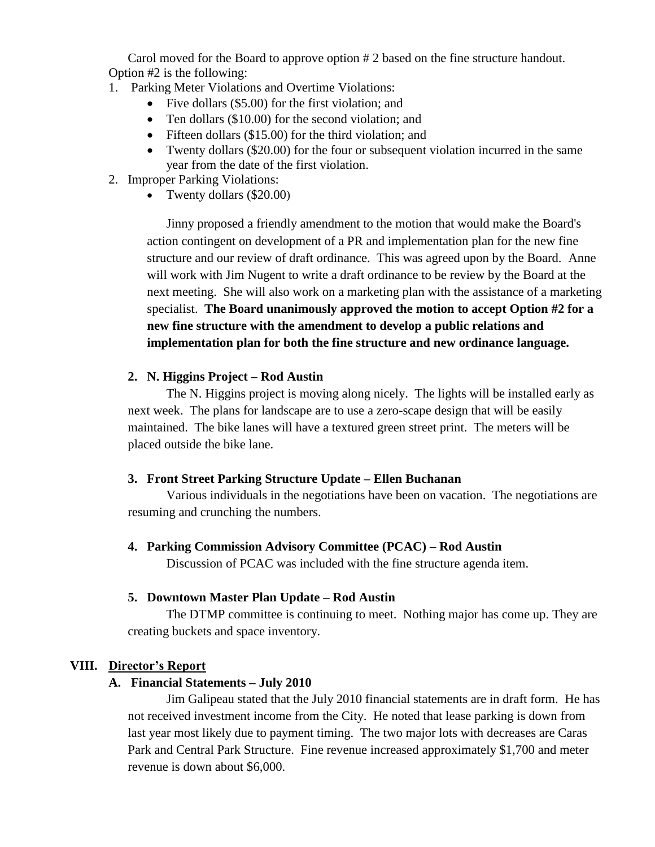Carol moved for the Board to approve option # 2 based on the fine structure handout. Option #2 is the following:

- 1. Parking Meter Violations and Overtime Violations:
	- Five dollars (\$5.00) for the first violation; and
	- Ten dollars (\$10.00) for the second violation; and
	- Fifteen dollars (\$15.00) for the third violation; and
	- Twenty dollars (\$20.00) for the four or subsequent violation incurred in the same year from the date of the first violation.
- 2. Improper Parking Violations:
	- Twenty dollars (\$20.00)

Jinny proposed a friendly amendment to the motion that would make the Board's action contingent on development of a PR and implementation plan for the new fine structure and our review of draft ordinance. This was agreed upon by the Board. Anne will work with Jim Nugent to write a draft ordinance to be review by the Board at the next meeting. She will also work on a marketing plan with the assistance of a marketing specialist. **The Board unanimously approved the motion to accept Option #2 for a new fine structure with the amendment to develop a public relations and implementation plan for both the fine structure and new ordinance language.**

### **2. N. Higgins Project – Rod Austin**

The N. Higgins project is moving along nicely. The lights will be installed early as next week. The plans for landscape are to use a zero-scape design that will be easily maintained. The bike lanes will have a textured green street print. The meters will be placed outside the bike lane.

### **3. Front Street Parking Structure Update – Ellen Buchanan**

Various individuals in the negotiations have been on vacation. The negotiations are resuming and crunching the numbers.

### **4. Parking Commission Advisory Committee (PCAC) – Rod Austin**

Discussion of PCAC was included with the fine structure agenda item.

### **5. Downtown Master Plan Update – Rod Austin**

The DTMP committee is continuing to meet. Nothing major has come up. They are creating buckets and space inventory.

### **VIII. Director's Report**

### **A. Financial Statements – July 2010**

Jim Galipeau stated that the July 2010 financial statements are in draft form. He has not received investment income from the City. He noted that lease parking is down from last year most likely due to payment timing. The two major lots with decreases are Caras Park and Central Park Structure. Fine revenue increased approximately \$1,700 and meter revenue is down about \$6,000.